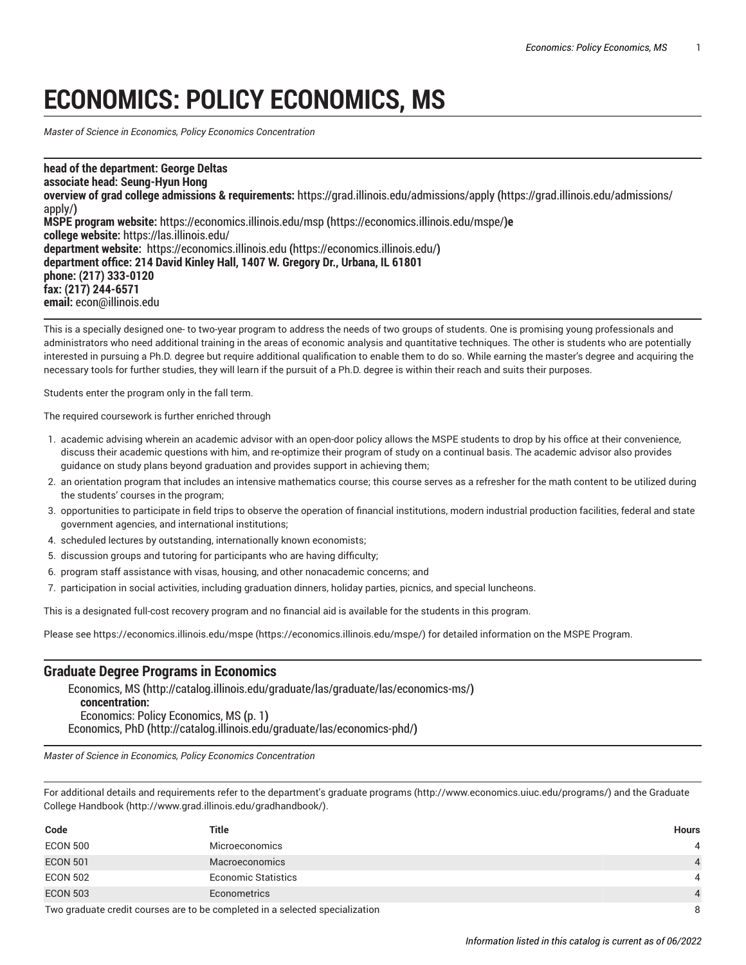## **ECONOMICS: POLICY ECONOMICS, MS**

<span id="page-0-0"></span>*Master of Science in Economics, Policy Economics Concentration*

**head of the department: George Deltas associate head: Seung-Hyun Hong overview of grad college admissions & requirements:** [https://grad.illinois.edu/admissions/apply](https://grad.illinois.edu/admissions/apply/) **(**[https://grad.illinois.edu/admissions/](https://grad.illinois.edu/admissions/apply/) [apply/](https://grad.illinois.edu/admissions/apply/)**) MSPE program website:** [https://economics.illinois.edu/msp](https://economics.illinois.edu/mspe/) **(**<https://economics.illinois.edu/mspe/>**)e college website:** <https://las.illinois.edu/> **department website:** [https://economics.illinois.edu](https://economics.illinois.edu/) **(**<https://economics.illinois.edu/>**) department office: 214 David Kinley Hall, 1407 W. Gregory Dr., Urbana, IL 61801 phone: (217) 333-0120 fax: (217) 244-6571 email:** [econ@illinois.edu](mailto:econ@illinois.edu)

This is a specially designed one- to two-year program to address the needs of two groups of students. One is promising young professionals and administrators who need additional training in the areas of economic analysis and quantitative techniques. The other is students who are potentially interested in pursuing a Ph.D. degree but require additional qualification to enable them to do so. While earning the master's degree and acquiring the necessary tools for further studies, they will learn if the pursuit of a Ph.D. degree is within their reach and suits their purposes.

Students enter the program only in the fall term.

The required coursework is further enriched through

- 1. academic advising wherein an academic advisor with an open-door policy allows the MSPE students to drop by his office at their convenience, discuss their academic questions with him, and re-optimize their program of study on a continual basis. The academic advisor also provides guidance on study plans beyond graduation and provides support in achieving them;
- 2. an orientation program that includes an intensive mathematics course; this course serves as a refresher for the math content to be utilized during the students' courses in the program;
- 3. opportunities to participate in field trips to observe the operation of financial institutions, modern industrial production facilities, federal and state government agencies, and international institutions;
- 4. scheduled lectures by outstanding, internationally known economists;
- 5. discussion groups and tutoring for participants who are having difficulty;
- 6. program staff assistance with visas, housing, and other nonacademic concerns; and
- 7. participation in social activities, including graduation dinners, holiday parties, picnics, and special luncheons.

This is a designated full-cost recovery program and no financial aid is available for the students in this program.

Please see [https://economics.illinois.edu/mspe \(https://economics.illinois.edu/mspe/\)](https://economics.illinois.edu/mspe/) for detailed information on the MSPE Program.

## **Graduate Degree Programs in Economics**

[Economics,](http://catalog.illinois.edu/graduate/las/graduate/las/economics-ms/) MS **(**<http://catalog.illinois.edu/graduate/las/graduate/las/economics-ms/>**) concentration:** [Economics:](#page-0-0) Policy Economics, MS **(**[p. 1](#page-0-0)**)** [Economics,](http://catalog.illinois.edu/graduate/las/economics-phd/) PhD **(**<http://catalog.illinois.edu/graduate/las/economics-phd/>**)**

*Master of Science in Economics, Policy Economics Concentration*

For additional details and requirements refer to the department's graduate [programs](http://www.economics.uiuc.edu/programs/) (<http://www.economics.uiuc.edu/programs/>) and the [Graduate](http://www.grad.illinois.edu/gradhandbook/) [College Handbook \(http://www.grad.illinois.edu/gradhandbook/\)](http://www.grad.illinois.edu/gradhandbook/).

| Code                                                                         | Title               | <b>Hours</b> |
|------------------------------------------------------------------------------|---------------------|--------------|
| <b>ECON 500</b>                                                              | Microeconomics      | 4            |
| <b>ECON 501</b>                                                              | Macroeconomics      | 4            |
| <b>ECON 502</b>                                                              | Economic Statistics | 4            |
| <b>ECON 503</b>                                                              | Econometrics        | 4            |
| Two araduate eredit equippe are to be completed in a selected encoiplization |                     |              |

Two graduate credit courses are to be completed in a selected specialization 8